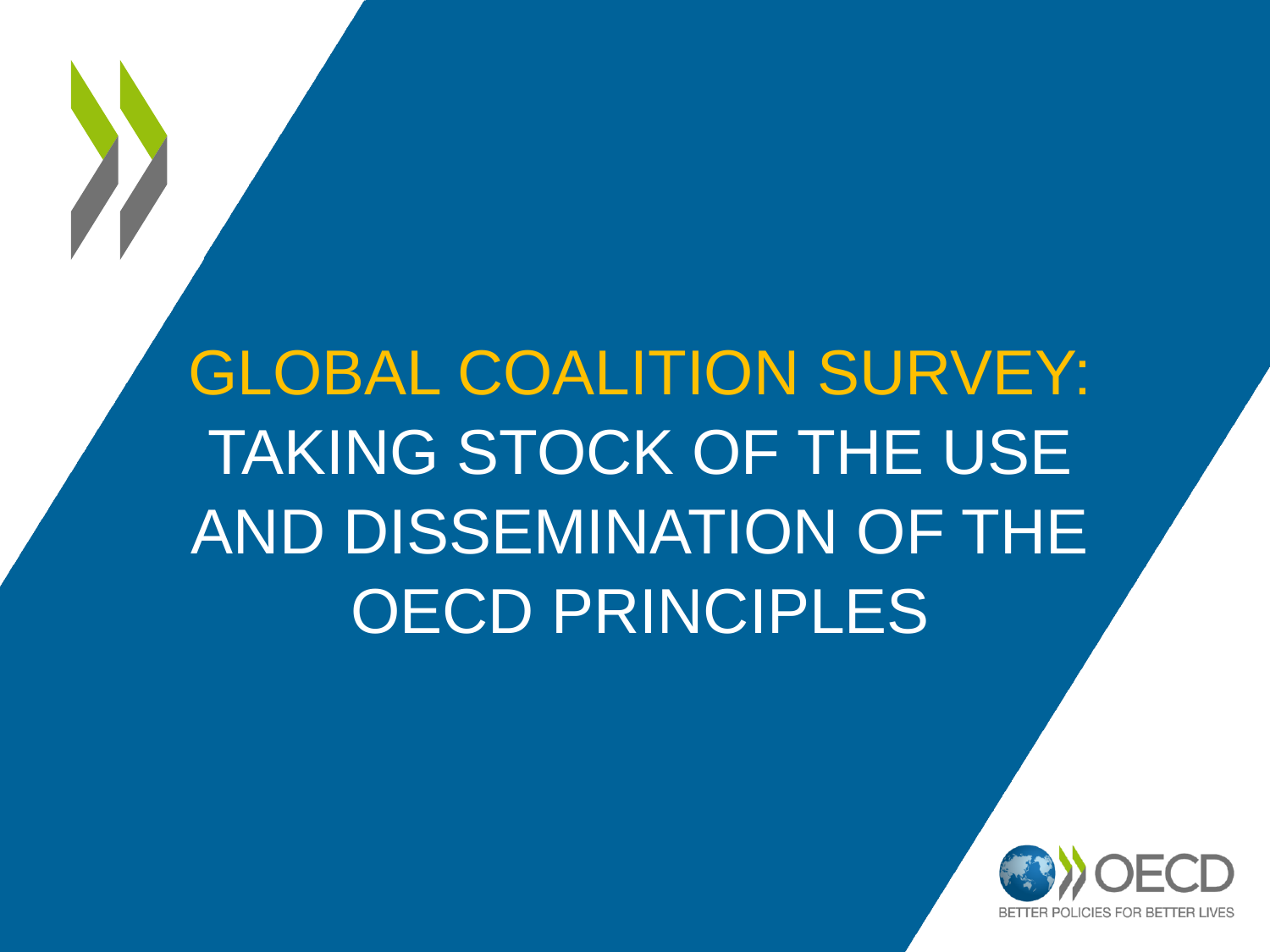# GLOBAL COALITION SURVEY: TAKING STOCK OF THE USE AND DISSEMINATION OF THE OECD PRINCIPLES

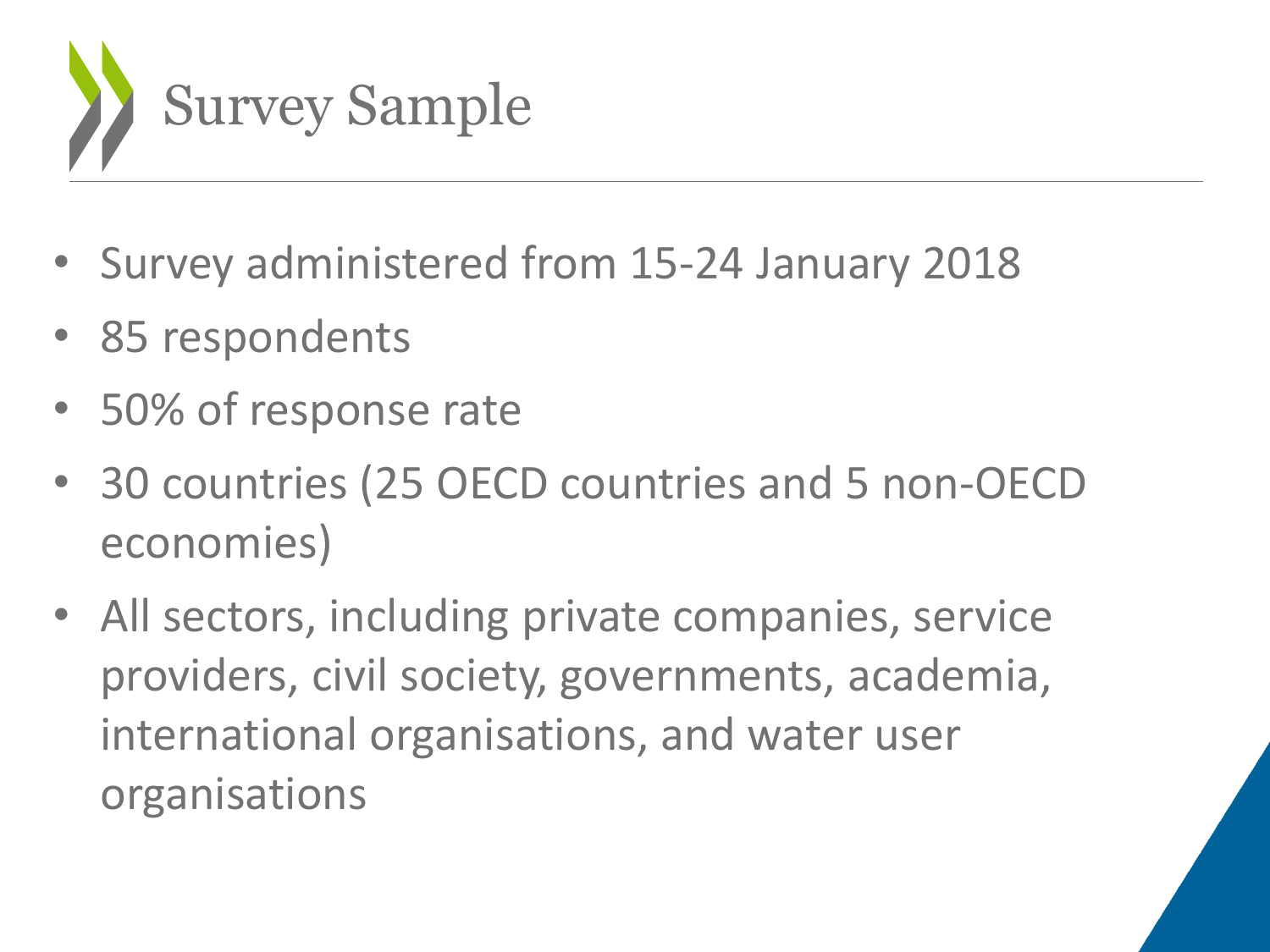

- Survey administered from 15-24 January 2018
- 85 respondents
- 50% of response rate
- 30 countries (25 OECD countries and 5 non-OECD economies)
- All sectors, including private companies, service providers, civil society, governments, academia, international organisations, and water user organisations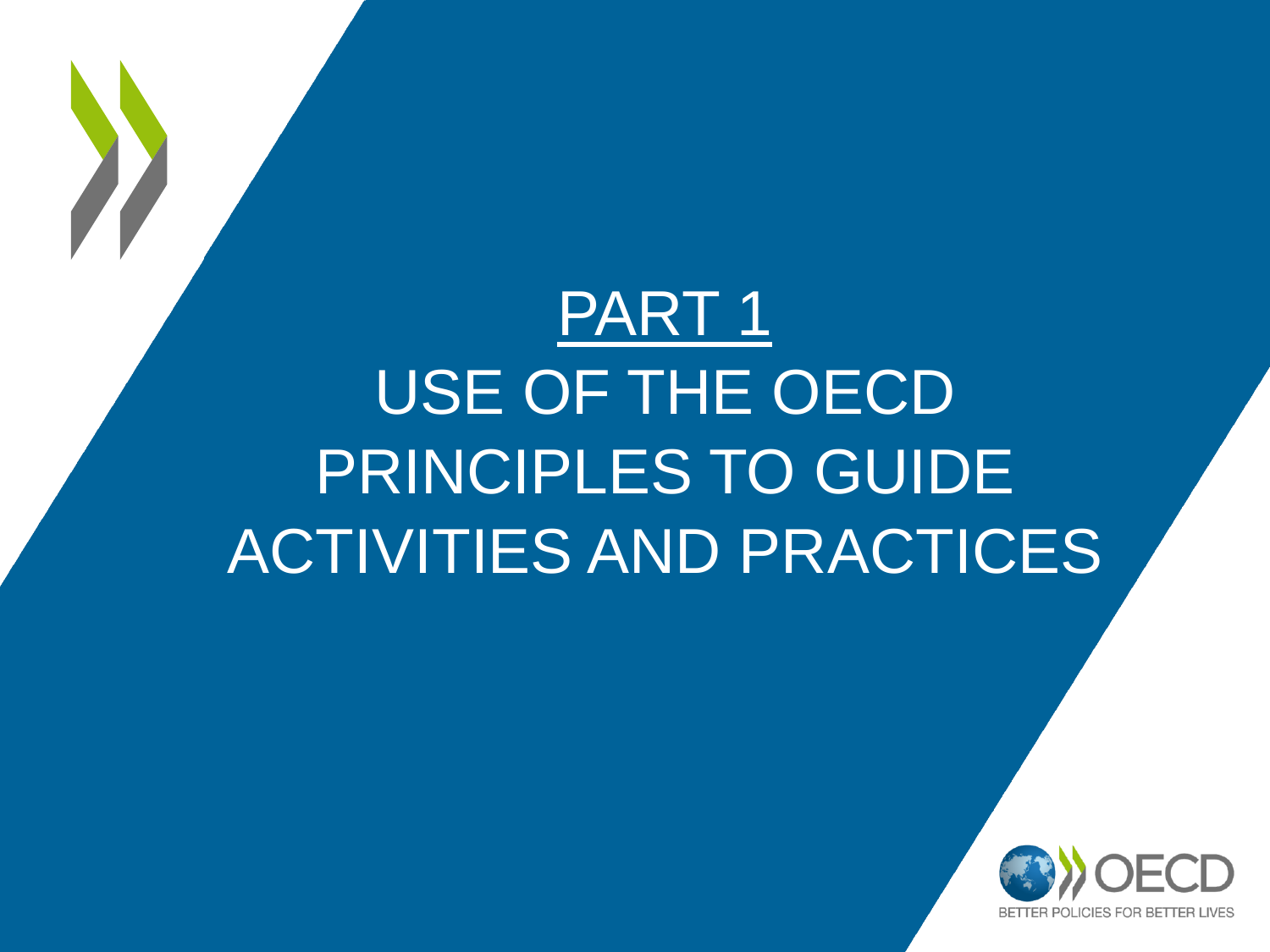# PART 1 USE OF THE OECD PRINCIPLES TO GUIDE ACTIVITIES AND PRACTICES

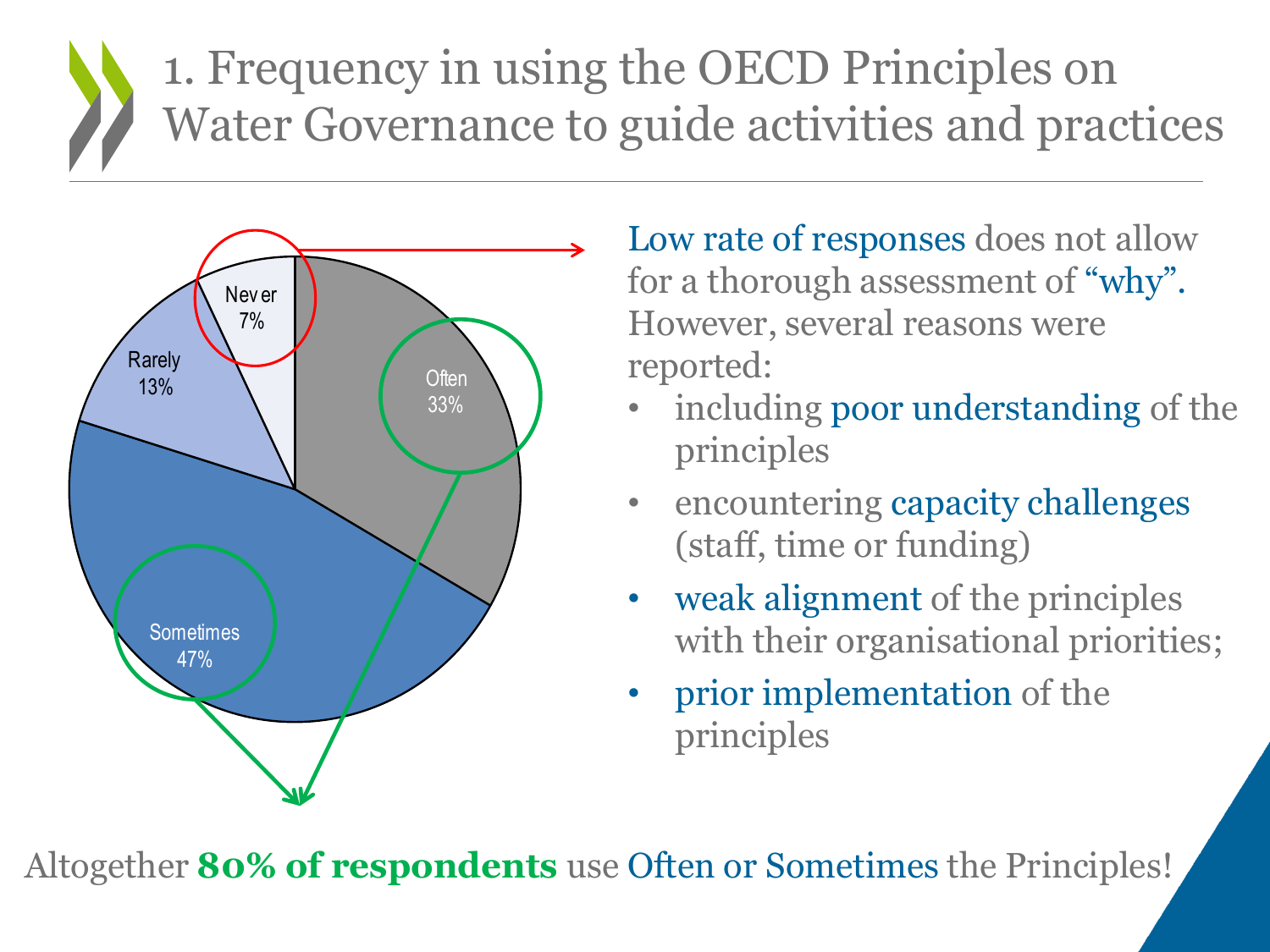#### 1. Frequency in using the OECD Principles on Water Governance to guide activities and practices



Low rate of responses does not allow for a thorough assessment of "why". However, several reasons were reported:

- including poor understanding of the principles
- encountering capacity challenges (staff, time or funding)
- weak alignment of the principles with their organisational priorities;
- prior implementation of the principles

Altogether **80% of respondents** use Often or Sometimes the Principles!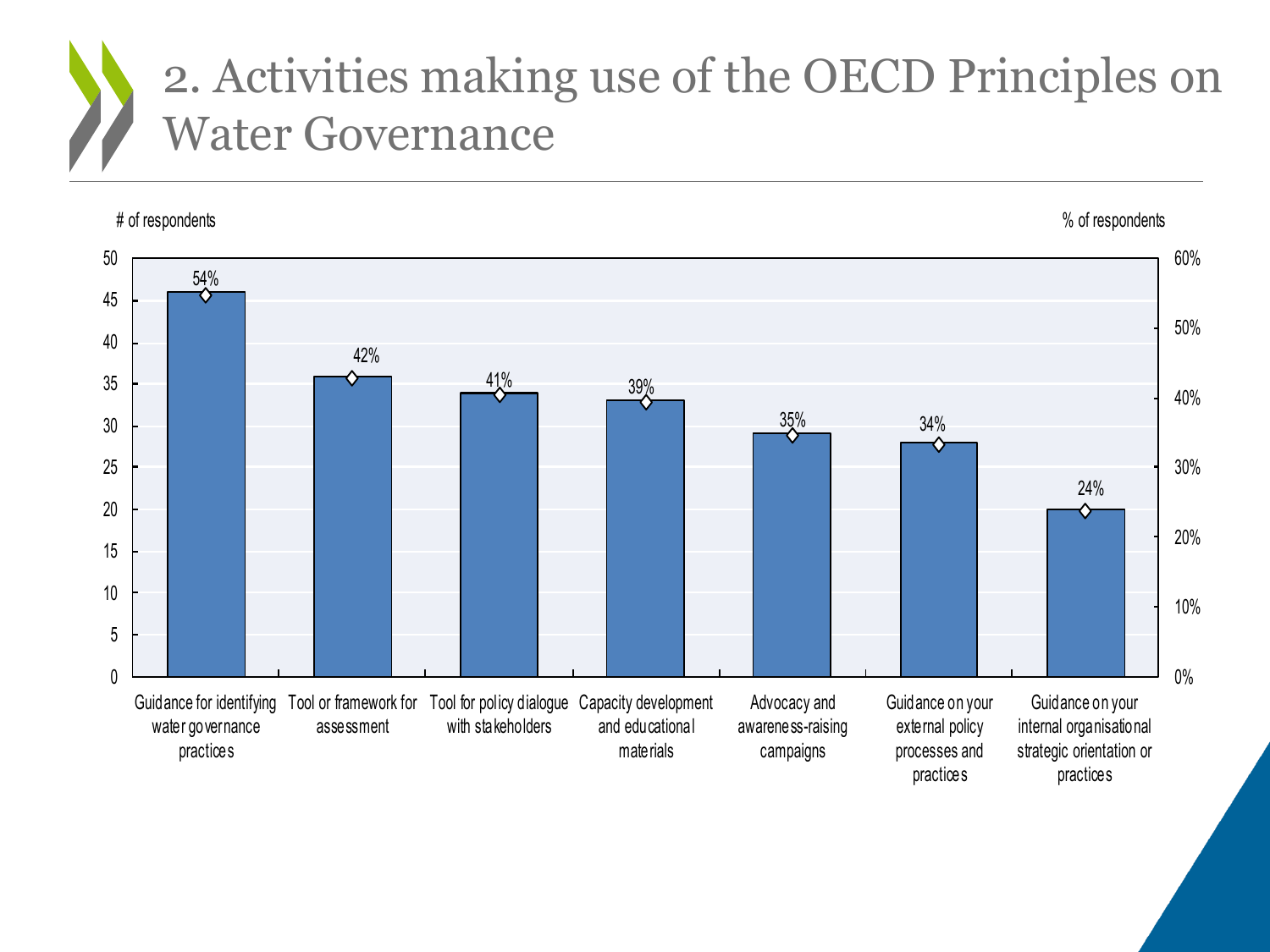#### 2. Activities making use of the OECD Principles on Water Governance

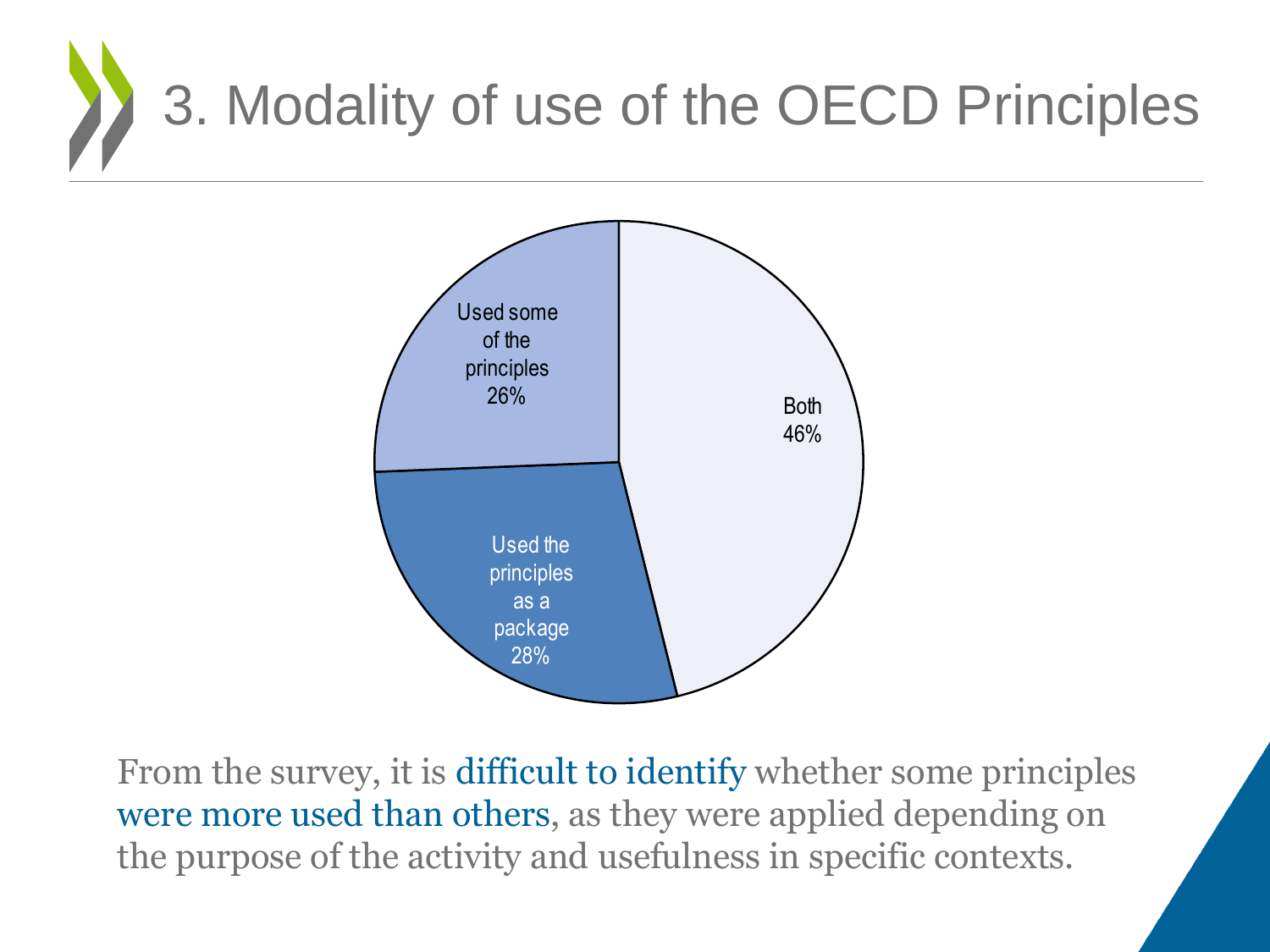



From the survey, it is difficult to identify whether some principles were more used than others, as they were applied depending on the purpose of the activity and usefulness in specific contexts.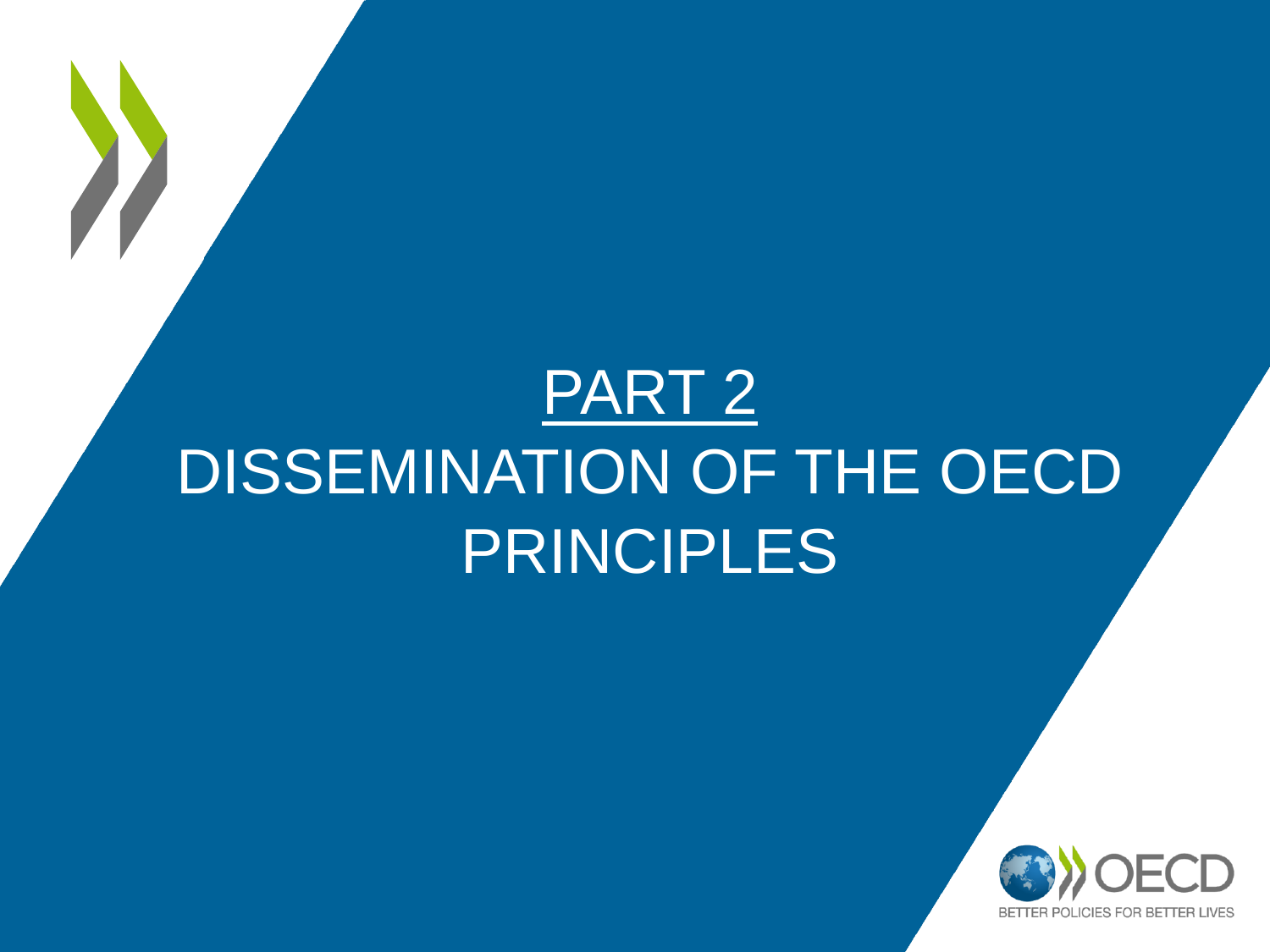## PART 2 DISSEMINATION OF THE OECD PRINCIPLES

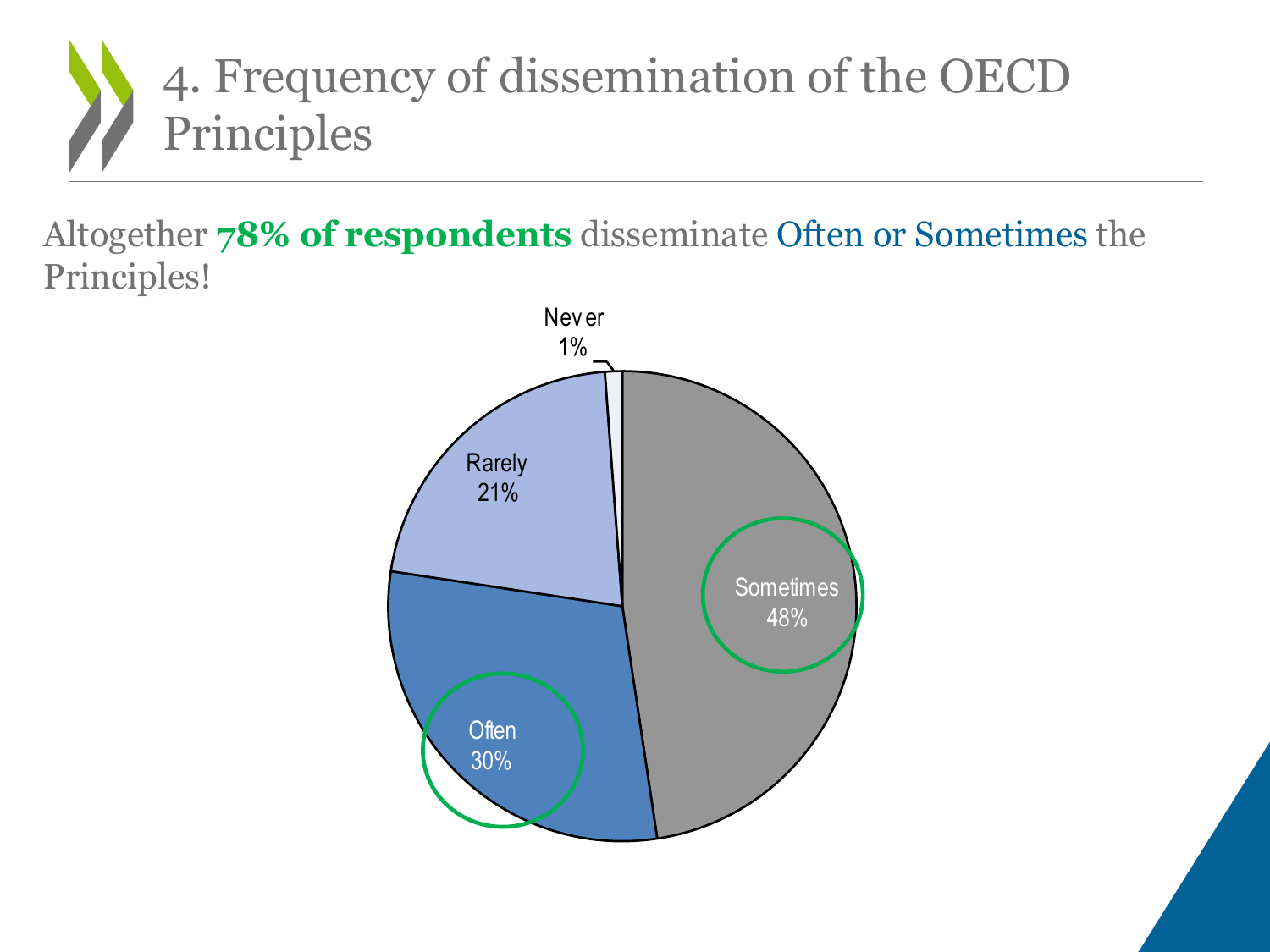

Altogether **78% of respondents** disseminate Often or Sometimes the Principles!

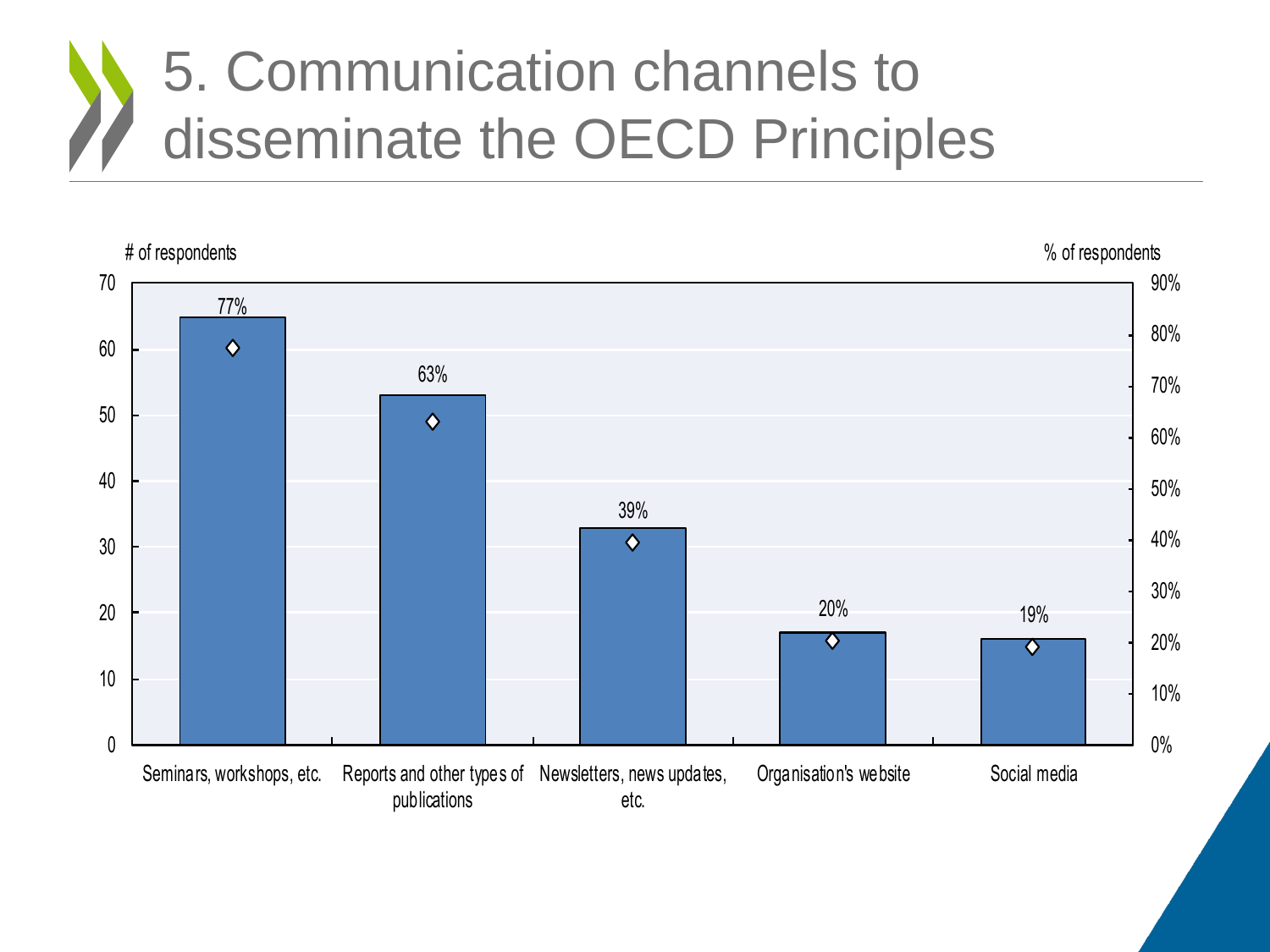### 5. Communication channels to disseminate the OECD Principles

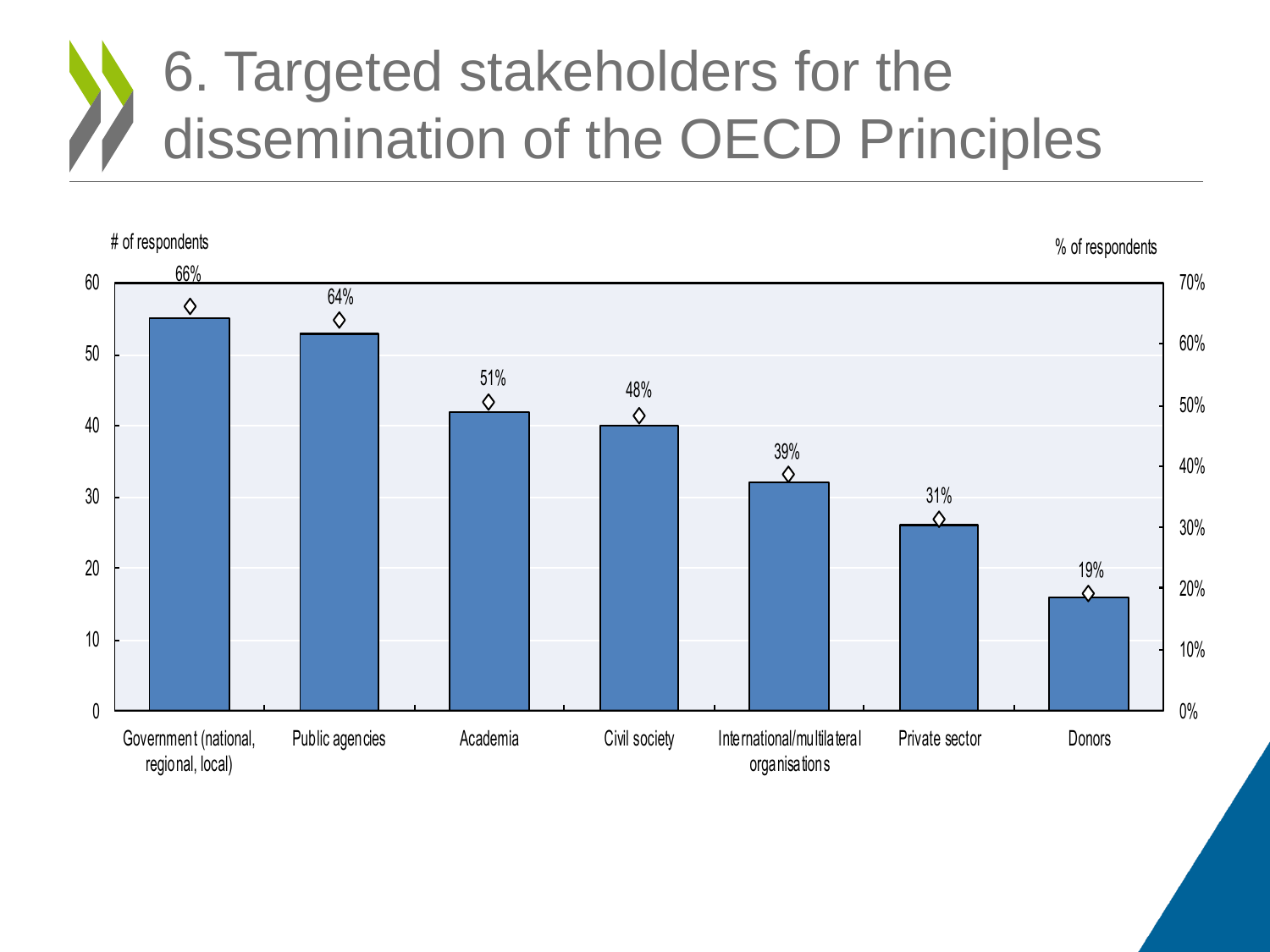### 6. Targeted stakeholders for the dissemination of the OECD Principles

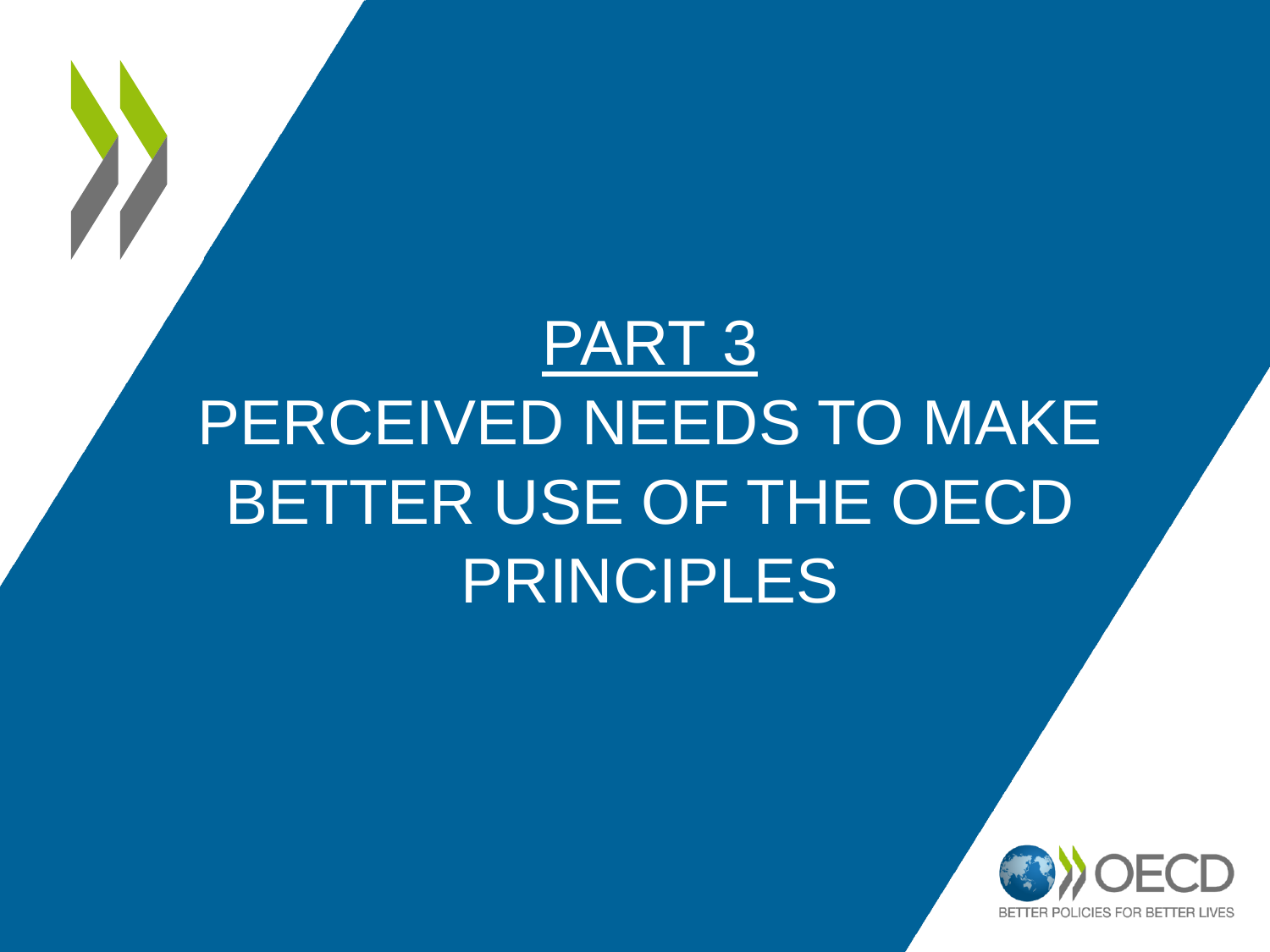# PART 3 PERCEIVED NEEDS TO MAKE BETTER USE OF THE OECD PRINCIPLES

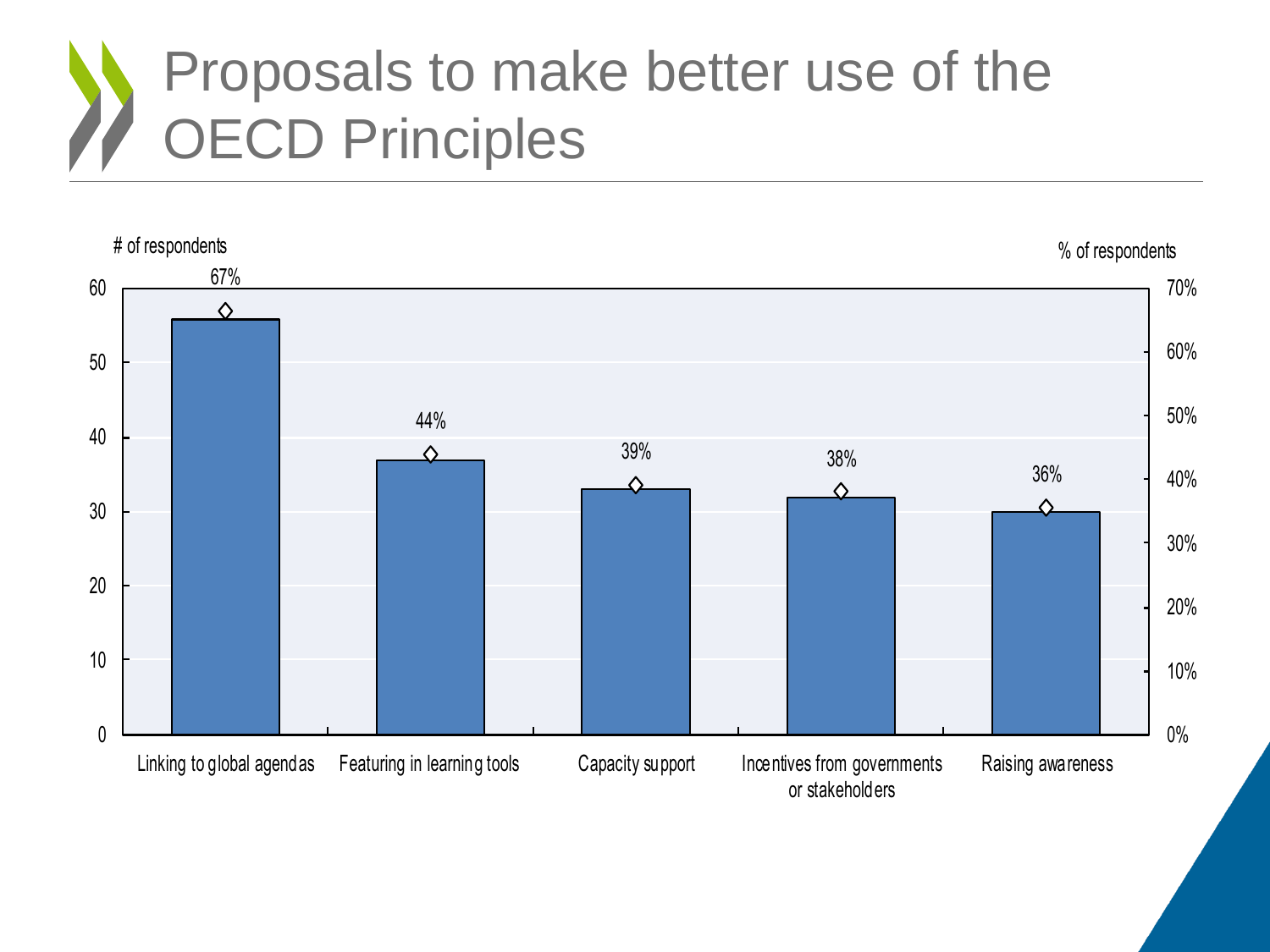### Proposals to make better use of the OECD Principles

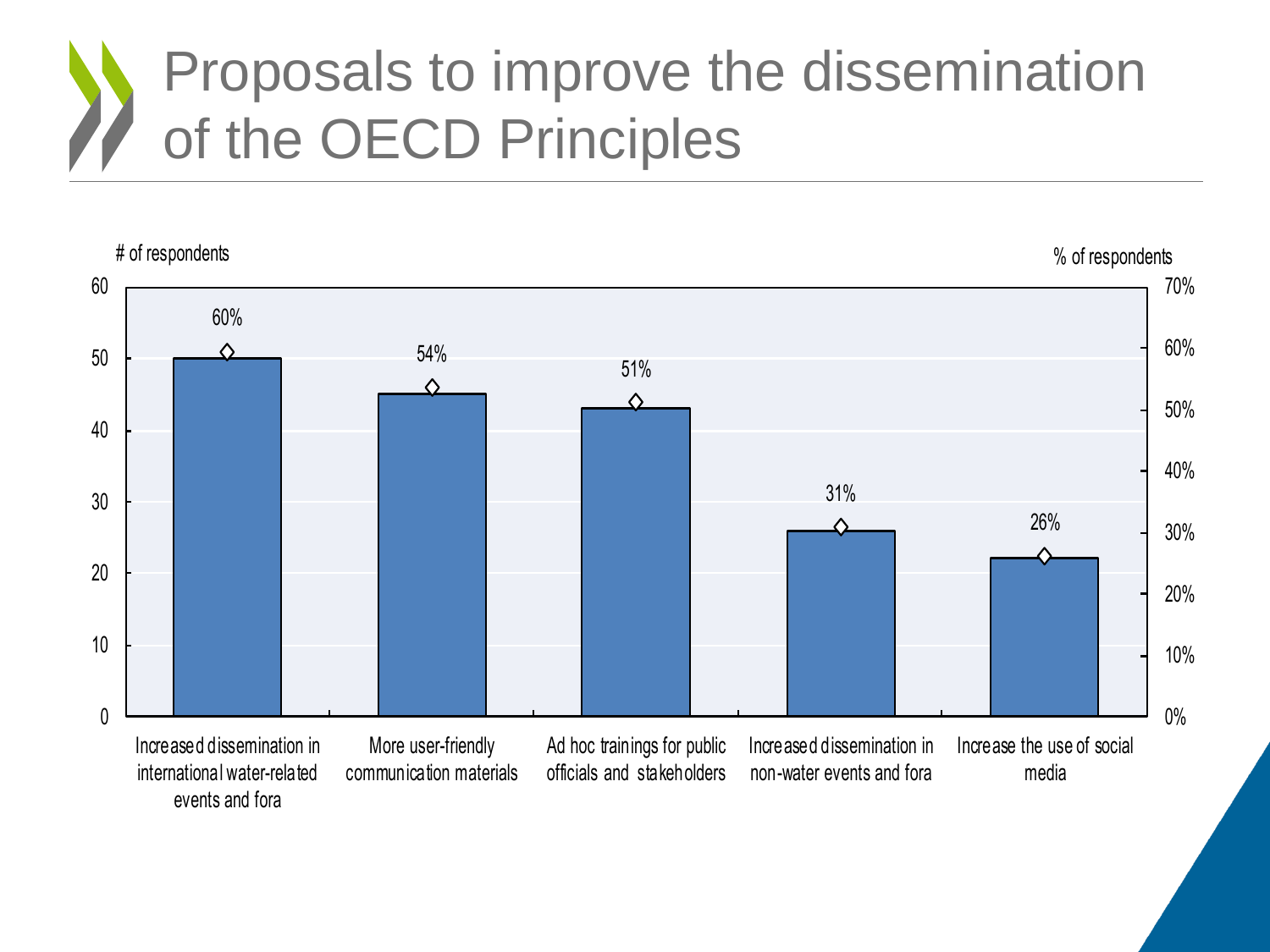### Proposals to improve the dissemination of the OECD Principles

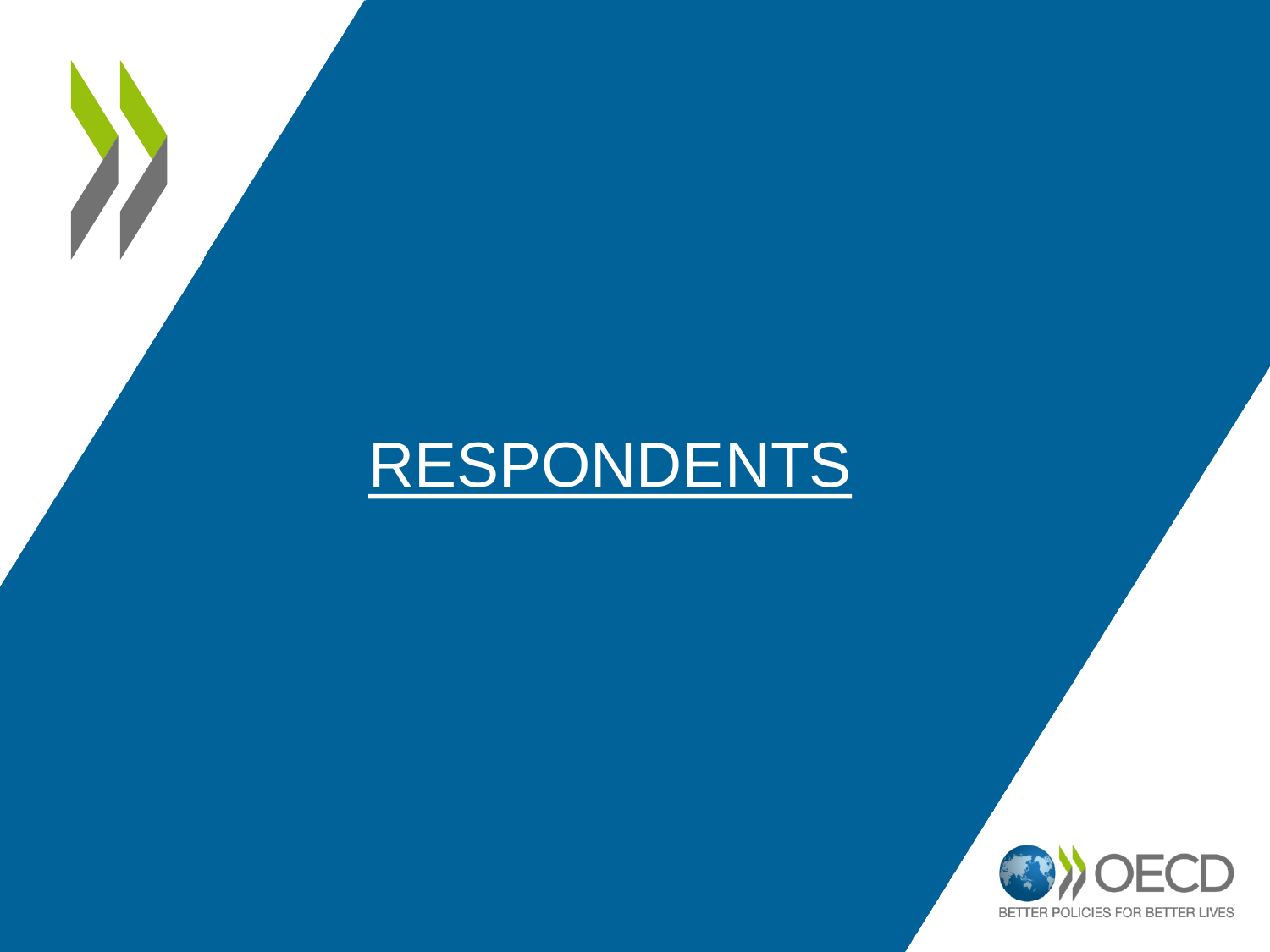## RESPONDENTS

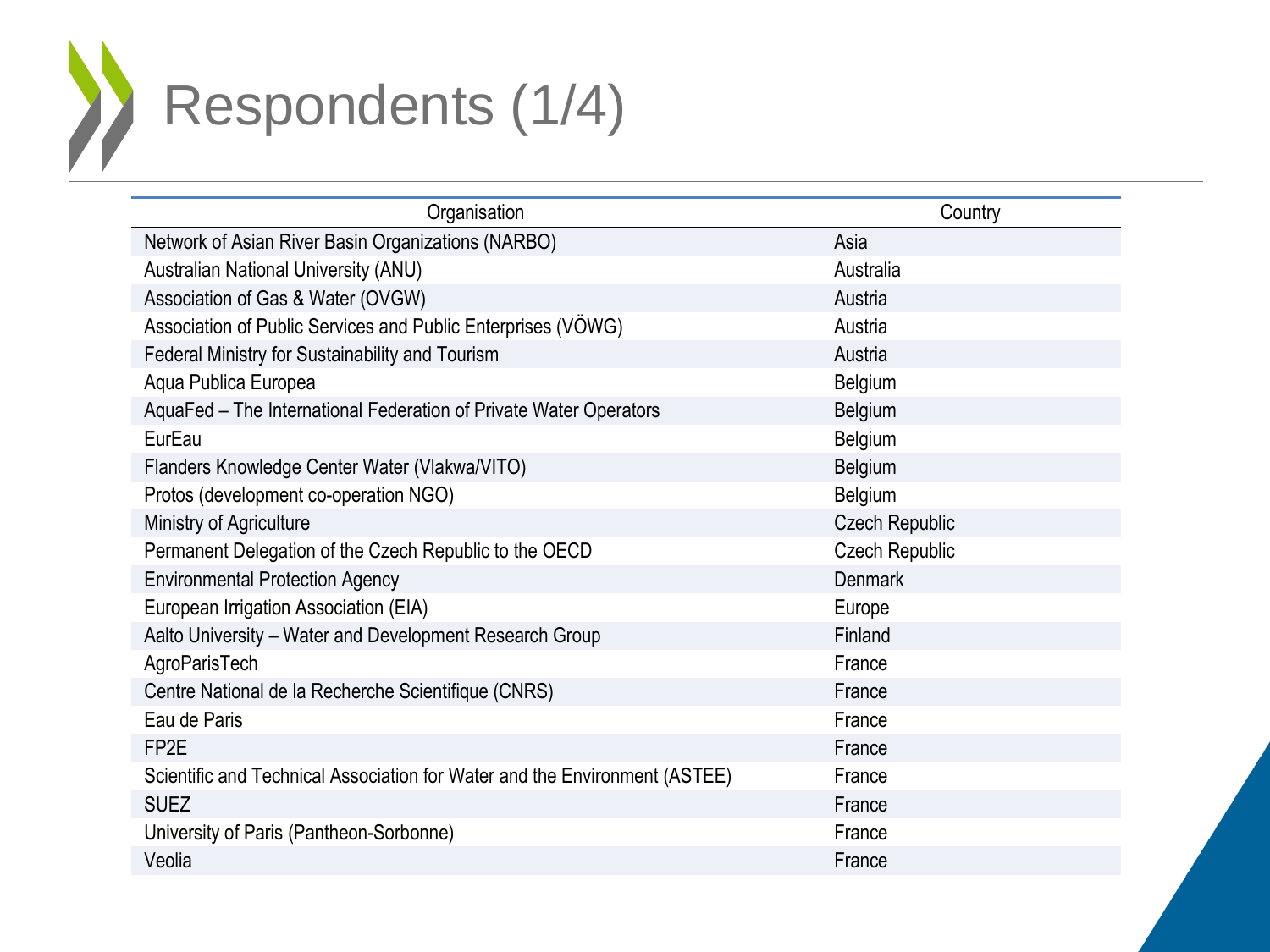#### Respondents (1/4) X

| Organisation                                                               | Country               |
|----------------------------------------------------------------------------|-----------------------|
| Network of Asian River Basin Organizations (NARBO)                         | Asia                  |
| <b>Australian National University (ANU)</b>                                | Australia             |
| Association of Gas & Water (OVGW)                                          | Austria               |
| Association of Public Services and Public Enterprises (VÖWG)               | Austria               |
| Federal Ministry for Sustainability and Tourism                            | Austria               |
| Aqua Publica Europea                                                       | Belgium               |
| AquaFed - The International Federation of Private Water Operators          | Belgium               |
| EurEau                                                                     | Belgium               |
| Flanders Knowledge Center Water (Vlakwa/VITO)                              | <b>Belgium</b>        |
| Protos (development co-operation NGO)                                      | Belgium               |
| Ministry of Agriculture                                                    | <b>Czech Republic</b> |
| Permanent Delegation of the Czech Republic to the OECD                     | <b>Czech Republic</b> |
| <b>Environmental Protection Agency</b>                                     | <b>Denmark</b>        |
| European Irrigation Association (EIA)                                      | Europe                |
| Aalto University - Water and Development Research Group                    | Finland               |
| AgroParisTech                                                              | France                |
| Centre National de la Recherche Scientifique (CNRS)                        | France                |
| Eau de Paris                                                               | France                |
| FP <sub>2E</sub>                                                           | France                |
| Scientific and Technical Association for Water and the Environment (ASTEE) | France                |
| <b>SUEZ</b>                                                                | France                |
| University of Paris (Pantheon-Sorbonne)                                    | France                |
| Veolia                                                                     | France                |
|                                                                            |                       |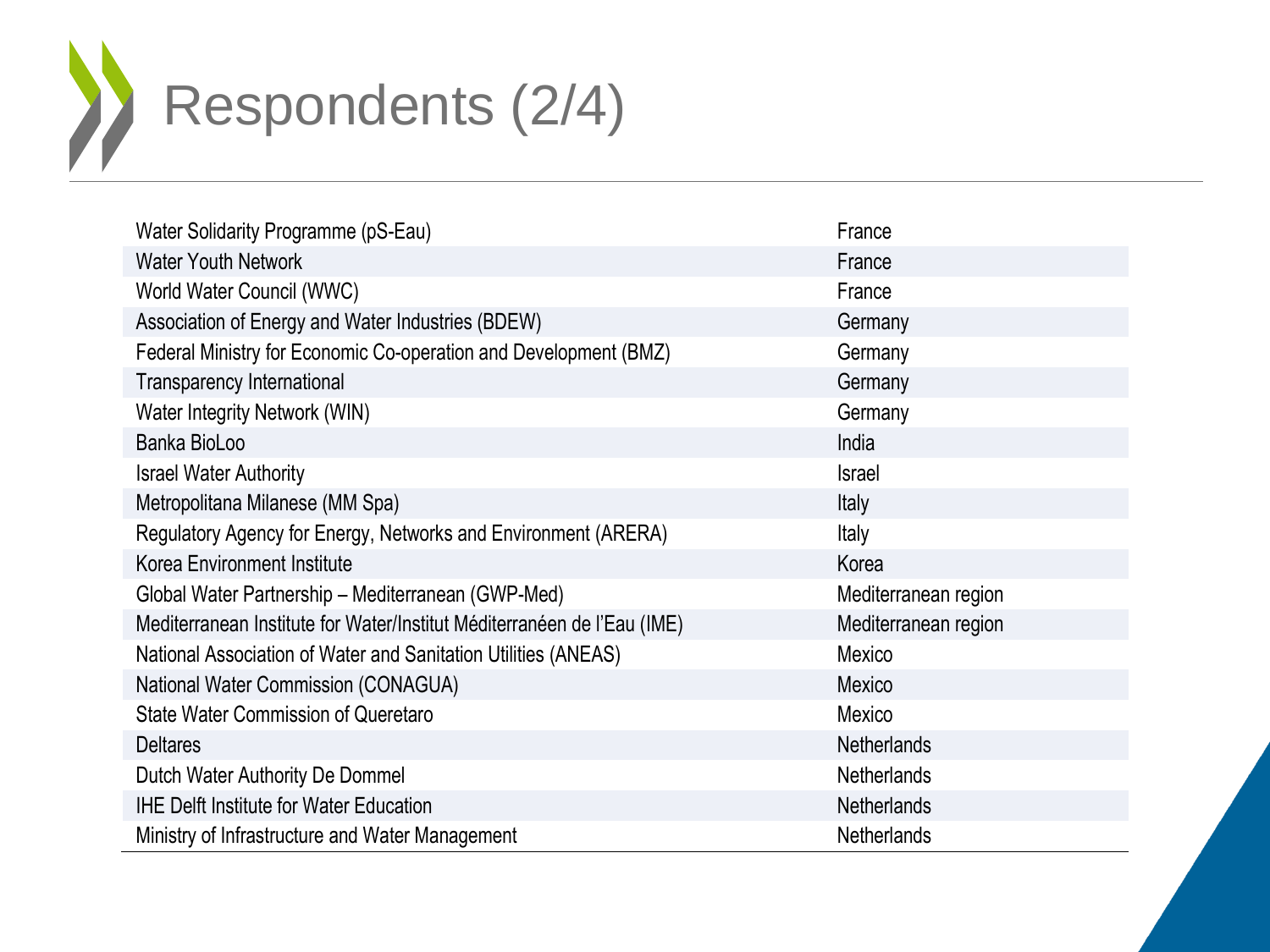Respondents (2/4) 

| Water Solidarity Programme (pS-Eau)                                     | France               |
|-------------------------------------------------------------------------|----------------------|
| <b>Water Youth Network</b>                                              | France               |
| World Water Council (WWC)                                               | France               |
| Association of Energy and Water Industries (BDEW)                       | Germany              |
| Federal Ministry for Economic Co-operation and Development (BMZ)        | Germany              |
| <b>Transparency International</b>                                       | Germany              |
| Water Integrity Network (WIN)                                           | Germany              |
| Banka BioLoo                                                            | India                |
| <b>Israel Water Authority</b>                                           | <b>Israel</b>        |
| Metropolitana Milanese (MM Spa)                                         | Italy                |
| Regulatory Agency for Energy, Networks and Environment (ARERA)          | <b>Italy</b>         |
| Korea Environment Institute                                             | Korea                |
| Global Water Partnership - Mediterranean (GWP-Med)                      | Mediterranean region |
| Mediterranean Institute for Water/Institut Méditerranéen de l'Eau (IME) | Mediterranean region |
| National Association of Water and Sanitation Utilities (ANEAS)          | Mexico               |
| National Water Commission (CONAGUA)                                     | Mexico               |
| <b>State Water Commission of Queretaro</b>                              | Mexico               |
| <b>Deltares</b>                                                         | <b>Netherlands</b>   |
| Dutch Water Authority De Dommel                                         | Netherlands          |
| <b>IHE Delft Institute for Water Education</b>                          | <b>Netherlands</b>   |
| Ministry of Infrastructure and Water Management                         | Netherlands          |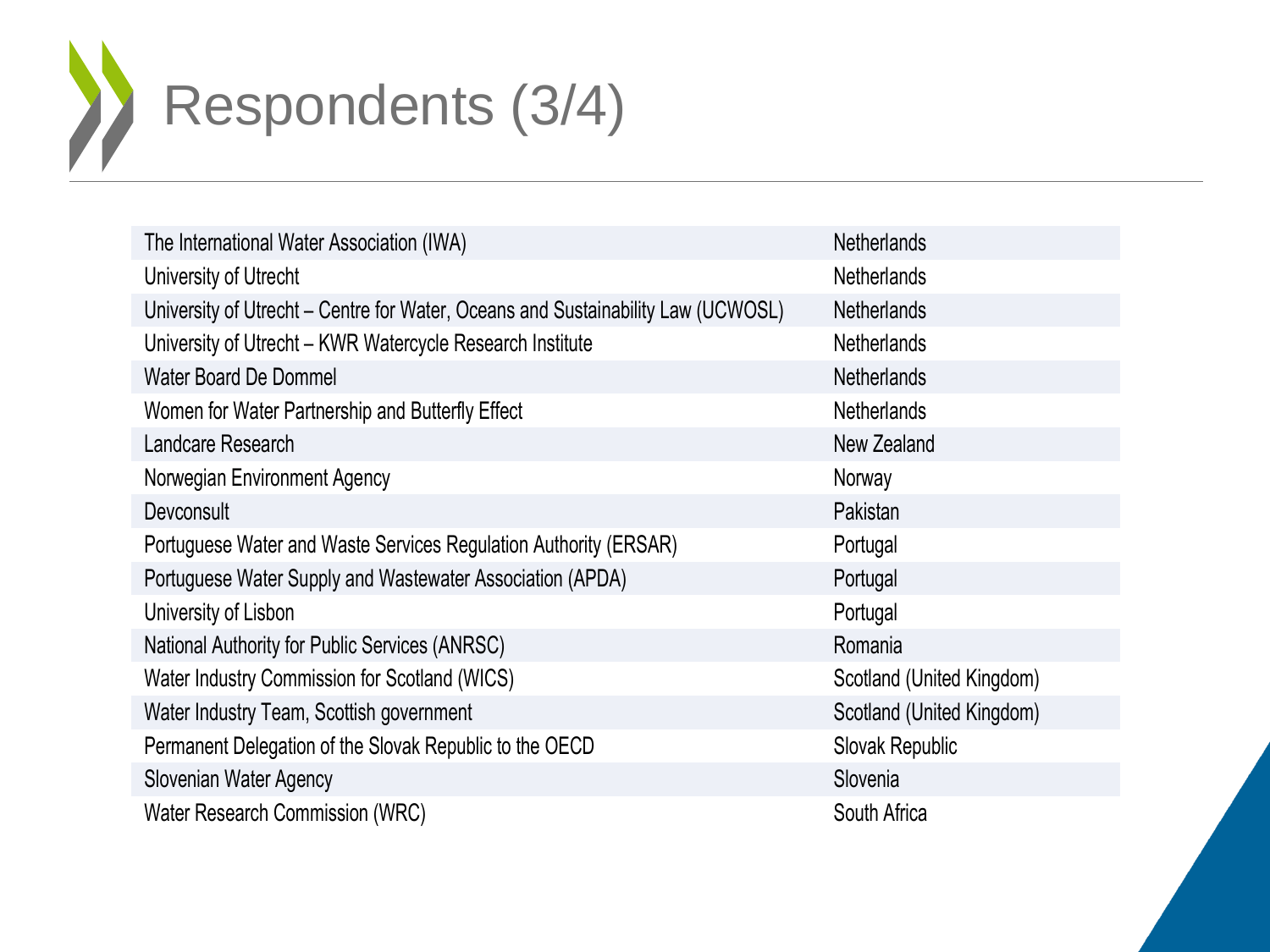

| The International Water Association (IWA)                                        | <b>Netherlands</b>        |
|----------------------------------------------------------------------------------|---------------------------|
| University of Utrecht                                                            | <b>Netherlands</b>        |
| University of Utrecht – Centre for Water, Oceans and Sustainability Law (UCWOSL) | <b>Netherlands</b>        |
| University of Utrecht - KWR Watercycle Research Institute                        | <b>Netherlands</b>        |
| <b>Water Board De Dommel</b>                                                     | <b>Netherlands</b>        |
| Women for Water Partnership and Butterfly Effect                                 | <b>Netherlands</b>        |
| Landcare Research                                                                | New Zealand               |
| Norwegian Environment Agency                                                     | Norway                    |
| Devconsult                                                                       | Pakistan                  |
| Portuguese Water and Waste Services Regulation Authority (ERSAR)                 | Portugal                  |
| Portuguese Water Supply and Wastewater Association (APDA)                        | Portugal                  |
| University of Lisbon                                                             | Portugal                  |
| National Authority for Public Services (ANRSC)                                   | Romania                   |
| Water Industry Commission for Scotland (WICS)                                    | Scotland (United Kingdom) |
| Water Industry Team, Scottish government                                         | Scotland (United Kingdom) |
| Permanent Delegation of the Slovak Republic to the OECD                          | Slovak Republic           |
| Slovenian Water Agency                                                           | Slovenia                  |
| Water Research Commission (WRC)                                                  | South Africa              |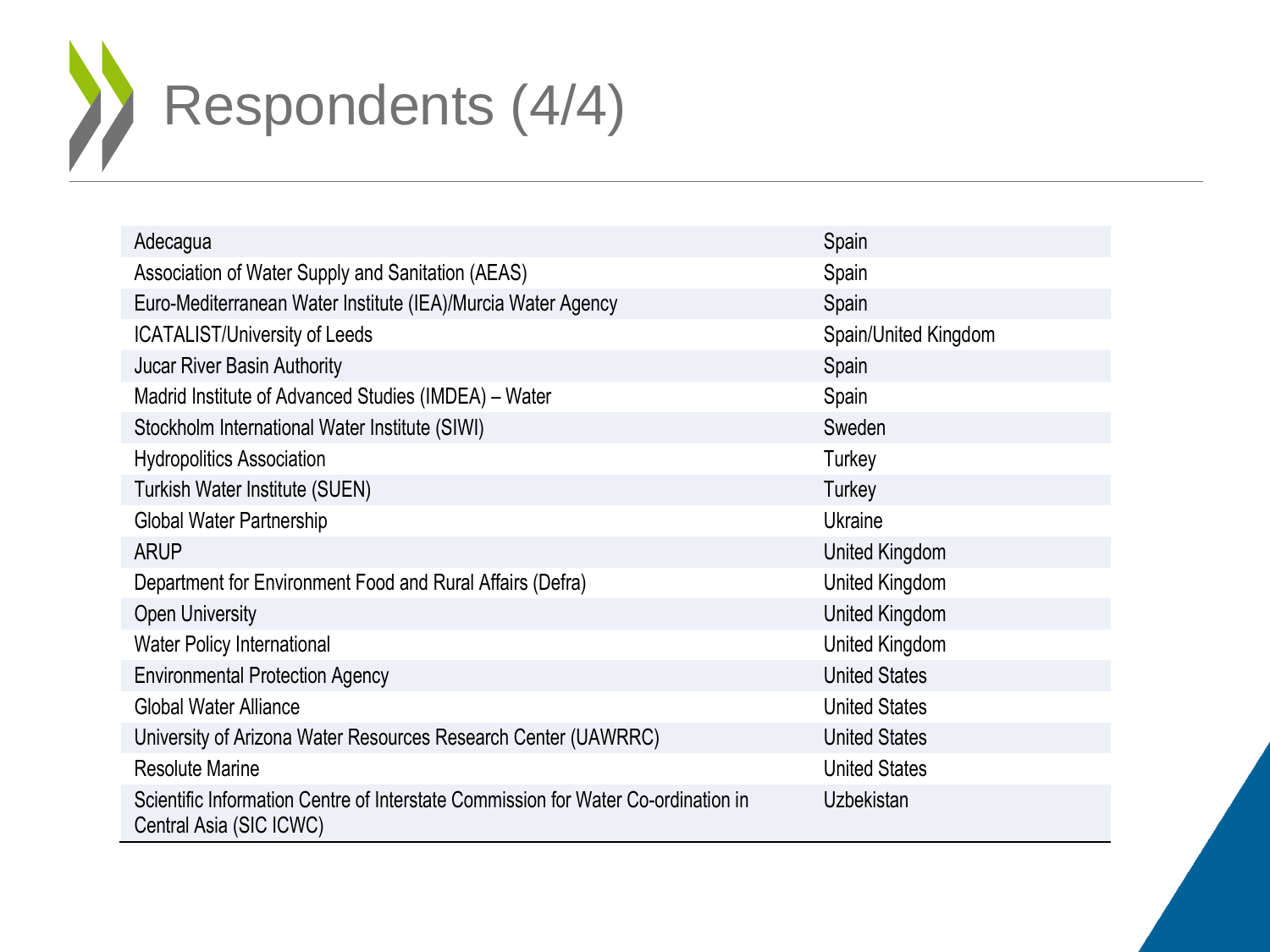

| Adecagua                                                                                                     | Spain                |
|--------------------------------------------------------------------------------------------------------------|----------------------|
| Association of Water Supply and Sanitation (AEAS)                                                            | Spain                |
| Euro-Mediterranean Water Institute (IEA)/Murcia Water Agency                                                 | Spain                |
| <b>ICATALIST/University of Leeds</b>                                                                         | Spain/United Kingdom |
| Jucar River Basin Authority                                                                                  | Spain                |
| Madrid Institute of Advanced Studies (IMDEA) – Water                                                         | Spain                |
| Stockholm International Water Institute (SIWI)                                                               | Sweden               |
| <b>Hydropolitics Association</b>                                                                             | Turkey               |
| Turkish Water Institute (SUEN)                                                                               | Turkey               |
| Global Water Partnership                                                                                     | Ukraine              |
| <b>ARUP</b>                                                                                                  | United Kingdom       |
| Department for Environment Food and Rural Affairs (Defra)                                                    | United Kingdom       |
| <b>Open University</b>                                                                                       | United Kingdom       |
| <b>Water Policy International</b>                                                                            | United Kingdom       |
| <b>Environmental Protection Agency</b>                                                                       | <b>United States</b> |
| <b>Global Water Alliance</b>                                                                                 | <b>United States</b> |
| University of Arizona Water Resources Research Center (UAWRRC)                                               | <b>United States</b> |
| <b>Resolute Marine</b>                                                                                       | <b>United States</b> |
| Scientific Information Centre of Interstate Commission for Water Co-ordination in<br>Central Asia (SIC ICWC) | Uzbekistan           |